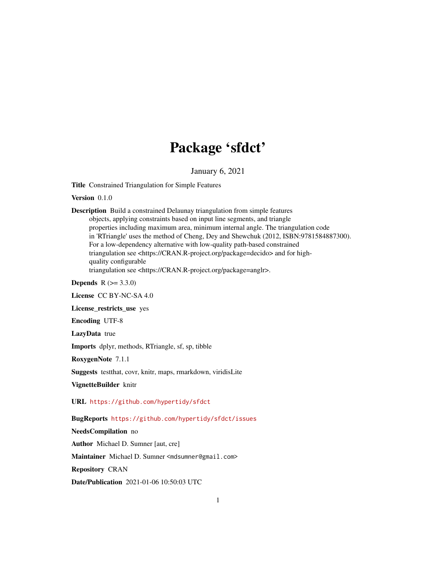## Package 'sfdct'

January 6, 2021

<span id="page-0-0"></span>Title Constrained Triangulation for Simple Features

Version 0.1.0

Description Build a constrained Delaunay triangulation from simple features objects, applying constraints based on input line segments, and triangle properties including maximum area, minimum internal angle. The triangulation code in 'RTriangle' uses the method of Cheng, Dey and Shewchuk (2012, ISBN:9781584887300). For a low-dependency alternative with low-quality path-based constrained triangulation see <https://CRAN.R-project.org/package=decido> and for highquality configurable triangulation see <https://CRAN.R-project.org/package=anglr>.

**Depends**  $R (= 3.3.0)$ 

License CC BY-NC-SA 4.0

License\_restricts\_use yes

Encoding UTF-8

LazyData true

Imports dplyr, methods, RTriangle, sf, sp, tibble

RoxygenNote 7.1.1

Suggests testthat, covr, knitr, maps, rmarkdown, viridisLite

VignetteBuilder knitr

URL <https://github.com/hypertidy/sfdct>

BugReports <https://github.com/hypertidy/sfdct/issues>

NeedsCompilation no

Author Michael D. Sumner [aut, cre]

Maintainer Michael D. Sumner <mdsumner@gmail.com>

Repository CRAN

Date/Publication 2021-01-06 10:50:03 UTC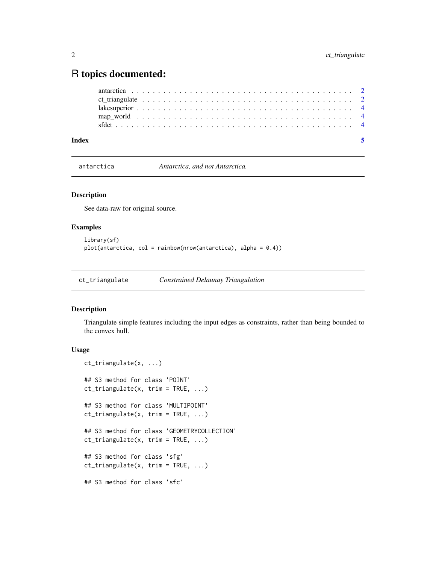### <span id="page-1-0"></span>R topics documented:

| Index |  |  |  |  |  |  |  |  |  |  |  |  |  |  |  |  |  |  |  |  |
|-------|--|--|--|--|--|--|--|--|--|--|--|--|--|--|--|--|--|--|--|--|
|       |  |  |  |  |  |  |  |  |  |  |  |  |  |  |  |  |  |  |  |  |
|       |  |  |  |  |  |  |  |  |  |  |  |  |  |  |  |  |  |  |  |  |
|       |  |  |  |  |  |  |  |  |  |  |  |  |  |  |  |  |  |  |  |  |
|       |  |  |  |  |  |  |  |  |  |  |  |  |  |  |  |  |  |  |  |  |
|       |  |  |  |  |  |  |  |  |  |  |  |  |  |  |  |  |  |  |  |  |

antarctica *Antarctica, and not Antarctica.*

#### Description

See data-raw for original source.

#### Examples

```
library(sf)
plot(antarctica, col = rainbow(nrow(antarctica), alpha = 0.4))
```
ct\_triangulate *Constrained Delaunay Triangulation*

#### Description

Triangulate simple features including the input edges as constraints, rather than being bounded to the convex hull.

#### Usage

```
ct_triangulate(x, ...)
## S3 method for class 'POINT'
ct_triangulate(x, trim = TRUE, ...)
## S3 method for class 'MULTIPOINT'
ct_triangulate(x, trim = TRUE, ...)
## S3 method for class 'GEOMETRYCOLLECTION'
ct_{\text{triangular}}(x, \text{ trim} = \text{TRUE}, \dots)## S3 method for class 'sfg'
ct_triangulate(x, trim = TRUE, ...)
## S3 method for class 'sfc'
```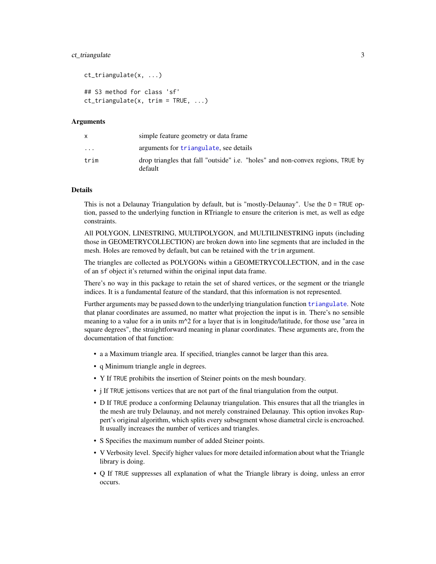#### <span id="page-2-0"></span>ct\_triangulate 3

```
ct_triangulate(x, ...)
## S3 method for class 'sf'
ct_{\text{triangular}}(x, \text{ trim} = \text{TRUE}, \dots)
```
#### Arguments

| x                       | simple feature geometry or data frame.                                                     |
|-------------------------|--------------------------------------------------------------------------------------------|
| $\cdot$ $\cdot$ $\cdot$ | arguments for triangulate, see details                                                     |
| trim                    | drop triangles that fall "outside" i.e. "holes" and non-convex regions, TRUE by<br>default |

#### Details

This is not a Delaunay Triangulation by default, but is "mostly-Delaunay". Use the  $D = TRUE$  option, passed to the underlying function in RTriangle to ensure the criterion is met, as well as edge constraints.

All POLYGON, LINESTRING, MULTIPOLYGON, and MULTILINESTRING inputs (including those in GEOMETRYCOLLECTION) are broken down into line segments that are included in the mesh. Holes are removed by default, but can be retained with the trim argument.

The triangles are collected as POLYGONs within a GEOMETRYCOLLECTION, and in the case of an sf object it's returned within the original input data frame.

There's no way in this package to retain the set of shared vertices, or the segment or the triangle indices. It is a fundamental feature of the standard, that this information is not represented.

Further arguments may be passed down to the underlying triangulation function [triangulate](#page-0-0). Note that planar coordinates are assumed, no matter what projection the input is in. There's no sensible meaning to a value for a in units  $m^2$  for a layer that is in longitude/latitude, for those use "area in square degrees", the straightforward meaning in planar coordinates. These arguments are, from the documentation of that function:

- a a Maximum triangle area. If specified, triangles cannot be larger than this area.
- q Minimum triangle angle in degrees.
- Y If TRUE prohibits the insertion of Steiner points on the mesh boundary.
- j If TRUE jettisons vertices that are not part of the final triangulation from the output.
- D If TRUE produce a conforming Delaunay triangulation. This ensures that all the triangles in the mesh are truly Delaunay, and not merely constrained Delaunay. This option invokes Ruppert's original algorithm, which splits every subsegment whose diametral circle is encroached. It usually increases the number of vertices and triangles.
- S Specifies the maximum number of added Steiner points.
- V Verbosity level. Specify higher values for more detailed information about what the Triangle library is doing.
- Q If TRUE suppresses all explanation of what the Triangle library is doing, unless an error occurs.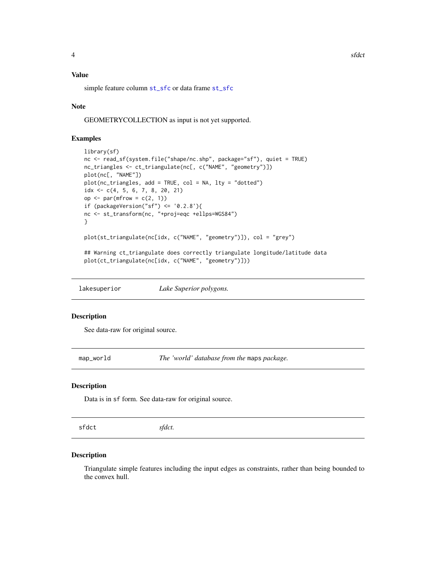#### <span id="page-3-0"></span>Value

simple feature column [st\\_sfc](#page-0-0) or data frame [st\\_sfc](#page-0-0)

#### Note

GEOMETRYCOLLECTION as input is not yet supported.

#### Examples

```
library(sf)
nc <- read_sf(system.file("shape/nc.shp", package="sf"), quiet = TRUE)
nc_triangles <- ct_triangulate(nc[, c("NAME", "geometry")])
plot(nc[, "NAME"])
plot(nc_triangles, add = TRUE, col = NA, lty = "dotted")
idx \leftarrow c(4, 5, 6, 7, 8, 20, 21)op \leq par(mfrow = c(2, 1))
if (packageVersion("sf") \le '0.2.8'){
nc <- st_transform(nc, "+proj=eqc +ellps=WGS84")
}
plot(st_triangulate(nc[idx, c("NAME", "geometry")]), col = "grey")
## Warning ct_triangulate does correctly triangulate longitude/latitude data
plot(ct_triangulate(nc[idx, c("NAME", "geometry")]))
```
lakesuperior *Lake Superior polygons.*

#### Description

See data-raw for original source.

map\_world *The 'world' database from the* maps *package.*

#### Description

Data is in sf form. See data-raw for original source.

sfdct *sfdct.*

#### Description

Triangulate simple features including the input edges as constraints, rather than being bounded to the convex hull.